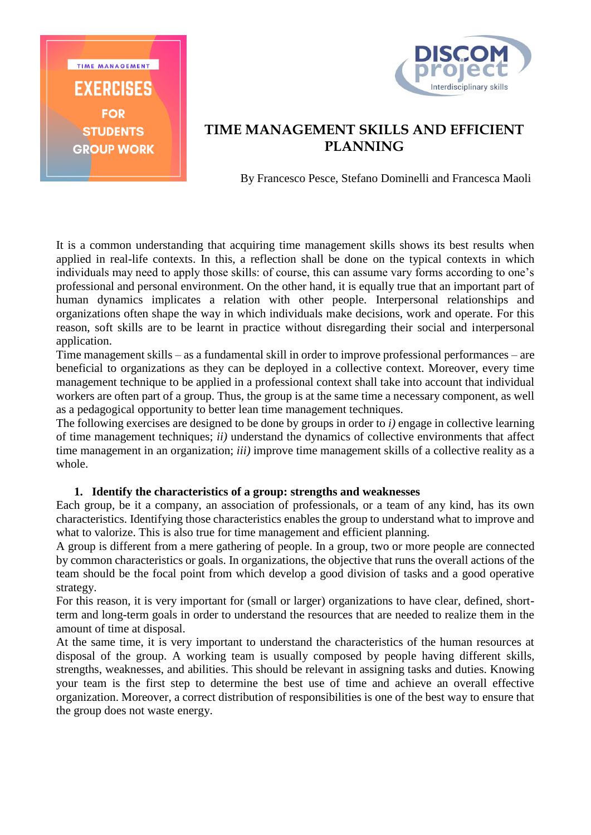



## **TIME MANAGEMENT SKILLS AND EFFICIENT PLANNING**

By Francesco Pesce, Stefano Dominelli and Francesca Maoli

It is a common understanding that acquiring time management skills shows its best results when applied in real-life contexts. In this, a reflection shall be done on the typical contexts in which individuals may need to apply those skills: of course, this can assume vary forms according to one's professional and personal environment. On the other hand, it is equally true that an important part of human dynamics implicates a relation with other people. Interpersonal relationships and organizations often shape the way in which individuals make decisions, work and operate. For this reason, soft skills are to be learnt in practice without disregarding their social and interpersonal application.

Time management skills – as a fundamental skill in order to improve professional performances – are beneficial to organizations as they can be deployed in a collective context. Moreover, every time management technique to be applied in a professional context shall take into account that individual workers are often part of a group. Thus, the group is at the same time a necessary component, as well as a pedagogical opportunity to better lean time management techniques.

The following exercises are designed to be done by groups in order to *i)* engage in collective learning of time management techniques; *ii)* understand the dynamics of collective environments that affect time management in an organization; *iii)* improve time management skills of a collective reality as a whole.

### **1. Identify the characteristics of a group: strengths and weaknesses**

Each group, be it a company, an association of professionals, or a team of any kind, has its own characteristics. Identifying those characteristics enables the group to understand what to improve and what to valorize. This is also true for time management and efficient planning.

A group is different from a mere gathering of people. In a group, two or more people are connected by common characteristics or goals. In organizations, the objective that runs the overall actions of the team should be the focal point from which develop a good division of tasks and a good operative strategy.

For this reason, it is very important for (small or larger) organizations to have clear, defined, shortterm and long-term goals in order to understand the resources that are needed to realize them in the amount of time at disposal.

At the same time, it is very important to understand the characteristics of the human resources at disposal of the group. A working team is usually composed by people having different skills, strengths, weaknesses, and abilities. This should be relevant in assigning tasks and duties. Knowing your team is the first step to determine the best use of time and achieve an overall effective organization. Moreover, a correct distribution of responsibilities is one of the best way to ensure that the group does not waste energy.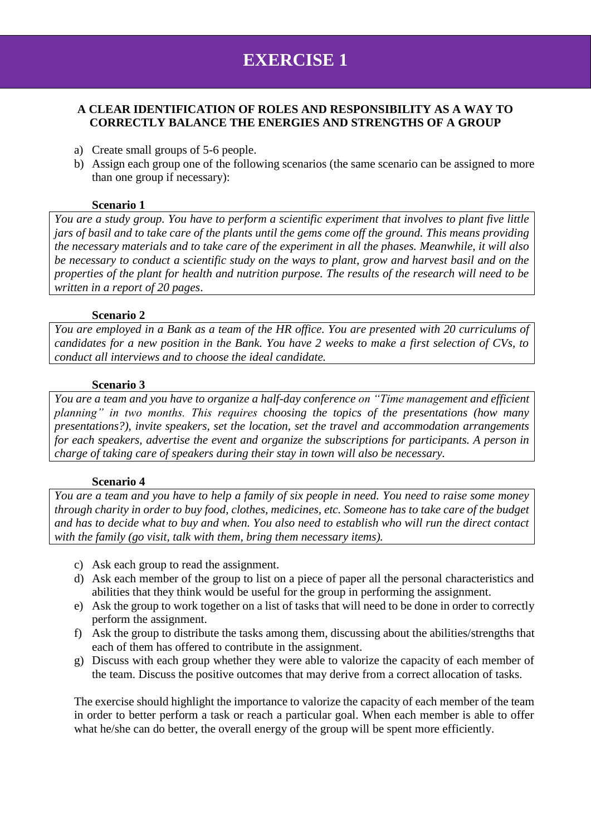# **EXERCISE 1**

## **A CLEAR IDENTIFICATION OF ROLES AND RESPONSIBILITY AS A WAY TO CORRECTLY BALANCE THE ENERGIES AND STRENGTHS OF A GROUP**

- a) Create small groups of 5-6 people.
- b) Assign each group one of the following scenarios (the same scenario can be assigned to more than one group if necessary):

#### **Scenario 1**

*You are a study group. You have to perform a scientific experiment that involves to plant five little jars of basil and to take care of the plants until the gems come off the ground. This means providing the necessary materials and to take care of the experiment in all the phases. Meanwhile, it will also be necessary to conduct a scientific study on the ways to plant, grow and harvest basil and on the properties of the plant for health and nutrition purpose. The results of the research will need to be written in a report of 20 pages*.

#### **Scenario 2**

*You are employed in a Bank as a team of the HR office. You are presented with 20 curriculums of candidates for a new position in the Bank. You have 2 weeks to make a first selection of CVs, to conduct all interviews and to choose the ideal candidate.* 

#### **Scenario 3**

*You are a team and you have to organize a half-day conference on "Time management and efficient planning" in two months. This requires choosing the topics of the presentations (how many presentations?), invite speakers, set the location, set the travel and accommodation arrangements for each speakers, advertise the event and organize the subscriptions for participants. A person in charge of taking care of speakers during their stay in town will also be necessary.*

### **Scenario 4**

*You are a team and you have to help a family of six people in need. You need to raise some money through charity in order to buy food, clothes, medicines, etc. Someone has to take care of the budget and has to decide what to buy and when. You also need to establish who will run the direct contact with the family (go visit, talk with them, bring them necessary items).* 

- c) Ask each group to read the assignment.
- d) Ask each member of the group to list on a piece of paper all the personal characteristics and abilities that they think would be useful for the group in performing the assignment.
- e) Ask the group to work together on a list of tasks that will need to be done in order to correctly perform the assignment.
- f) Ask the group to distribute the tasks among them, discussing about the abilities/strengths that each of them has offered to contribute in the assignment.
- g) Discuss with each group whether they were able to valorize the capacity of each member of the team. Discuss the positive outcomes that may derive from a correct allocation of tasks.

The exercise should highlight the importance to valorize the capacity of each member of the team in order to better perform a task or reach a particular goal. When each member is able to offer what he/she can do better, the overall energy of the group will be spent more efficiently.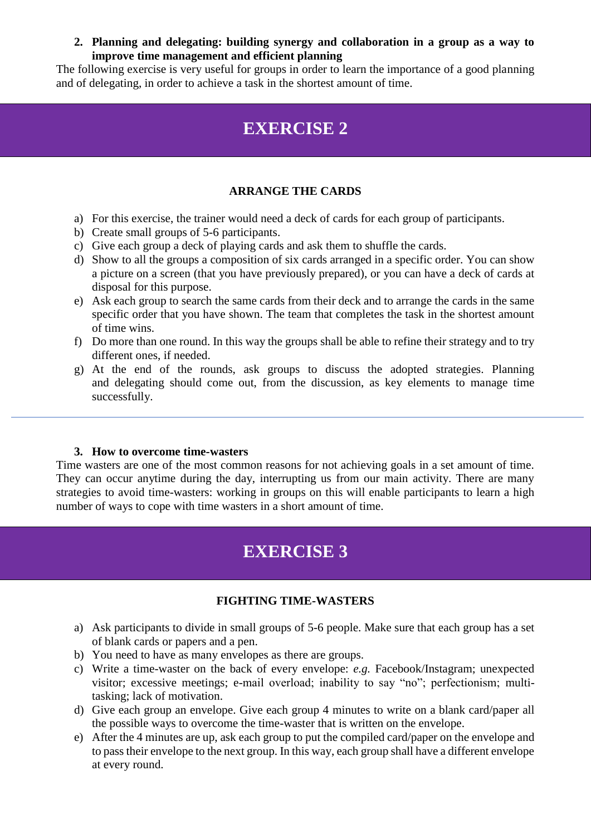**2. Planning and delegating: building synergy and collaboration in a group as a way to improve time management and efficient planning**

The following exercise is very useful for groups in order to learn the importance of a good planning and of delegating, in order to achieve a task in the shortest amount of time.

## **EXERCISE 2**

## **ARRANGE THE CARDS**

- a) For this exercise, the trainer would need a deck of cards for each group of participants.
- b) Create small groups of 5-6 participants.
- c) Give each group a deck of playing cards and ask them to shuffle the cards.
- d) Show to all the groups a composition of six cards arranged in a specific order. You can show a picture on a screen (that you have previously prepared), or you can have a deck of cards at disposal for this purpose.
- e) Ask each group to search the same cards from their deck and to arrange the cards in the same specific order that you have shown. The team that completes the task in the shortest amount of time wins.
- f) Do more than one round. In this way the groups shall be able to refine their strategy and to try different ones, if needed.
- g) At the end of the rounds, ask groups to discuss the adopted strategies. Planning and delegating should come out, from the discussion, as key elements to manage time successfully.

### **3. How to overcome time-wasters**

Time wasters are one of the most common reasons for not achieving goals in a set amount of time. They can occur anytime during the day, interrupting us from our main activity. There are many strategies to avoid time-wasters: working in groups on this will enable participants to learn a high number of ways to cope with time wasters in a short amount of time.

## **EXERCISE 3**

#### **FIGHTING TIME-WASTERS**

- a) Ask participants to divide in small groups of 5-6 people. Make sure that each group has a set of blank cards or papers and a pen.
- b) You need to have as many envelopes as there are groups.
- c) Write a time-waster on the back of every envelope: *e.g.* Facebook/Instagram; unexpected visitor; excessive meetings; e-mail overload; inability to say "no"; perfectionism; multitasking; lack of motivation.
- d) Give each group an envelope. Give each group 4 minutes to write on a blank card/paper all the possible ways to overcome the time-waster that is written on the envelope.
- e) After the 4 minutes are up, ask each group to put the compiled card/paper on the envelope and to pass their envelope to the next group. In this way, each group shall have a different envelope at every round.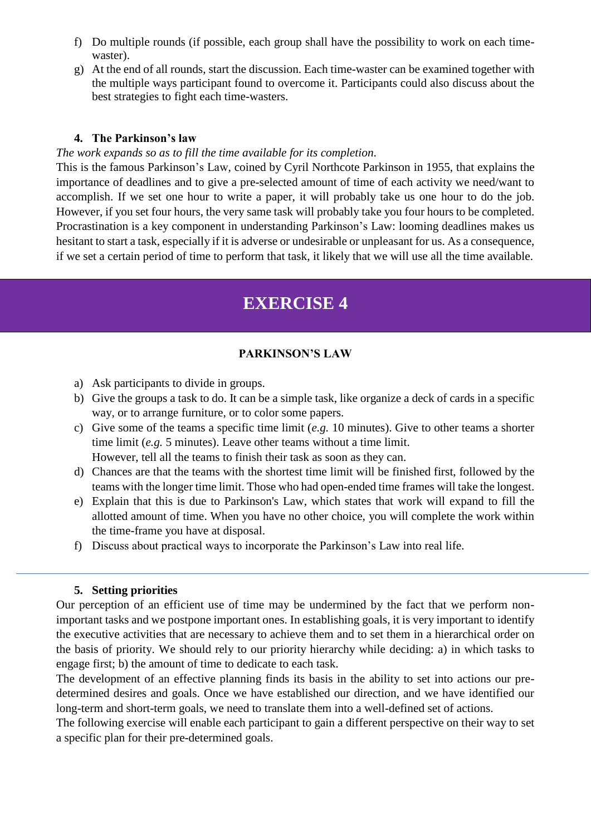- f) Do multiple rounds (if possible, each group shall have the possibility to work on each timewaster).
- g) At the end of all rounds, start the discussion. Each time-waster can be examined together with the multiple ways participant found to overcome it. Participants could also discuss about the best strategies to fight each time-wasters.

#### **4. The Parkinson's law**

#### *The work expands so as to fill the time available for its completion.*

This is the famous Parkinson's Law, coined by Cyril Northcote Parkinson in 1955, that explains the importance of deadlines and to give a pre-selected amount of time of each activity we need/want to accomplish. If we set one hour to write a paper, it will probably take us one hour to do the job. However, if you set four hours, the very same task will probably take you four hours to be completed. Procrastination is a key component in understanding Parkinson's Law: looming deadlines makes us hesitant to start a task, especially if it is adverse or undesirable or unpleasant for us. As a consequence, if we set a certain period of time to perform that task, it likely that we will use all the time available.

## **EXERCISE 4**

#### **PARKINSON'S LAW**

- a) Ask participants to divide in groups.
- b) Give the groups a task to do. It can be a simple task, like organize a deck of cards in a specific way, or to arrange furniture, or to color some papers.
- c) Give some of the teams a specific time limit (*e.g.* 10 minutes). Give to other teams a shorter time limit (*e.g.* 5 minutes). Leave other teams without a time limit. However, tell all the teams to finish their task as soon as they can.
- d) Chances are that the teams with the shortest time limit will be finished first, followed by the teams with the longer time limit. Those who had open-ended time frames will take the longest.
- e) Explain that this is due to Parkinson's Law, which states that work will expand to fill the allotted amount of time. When you have no other choice, you will complete the work within the time-frame you have at disposal.
- f) Discuss about practical ways to incorporate the Parkinson's Law into real life.

#### **5. Setting priorities**

Our perception of an efficient use of time may be undermined by the fact that we perform nonimportant tasks and we postpone important ones. In establishing goals, it is very important to identify the executive activities that are necessary to achieve them and to set them in a hierarchical order on the basis of priority. We should rely to our priority hierarchy while deciding: a) in which tasks to engage first; b) the amount of time to dedicate to each task.

The development of an effective planning finds its basis in the ability to set into actions our predetermined desires and goals. Once we have established our direction, and we have identified our long-term and short-term goals, we need to translate them into a well-defined set of actions.

The following exercise will enable each participant to gain a different perspective on their way to set a specific plan for their pre-determined goals.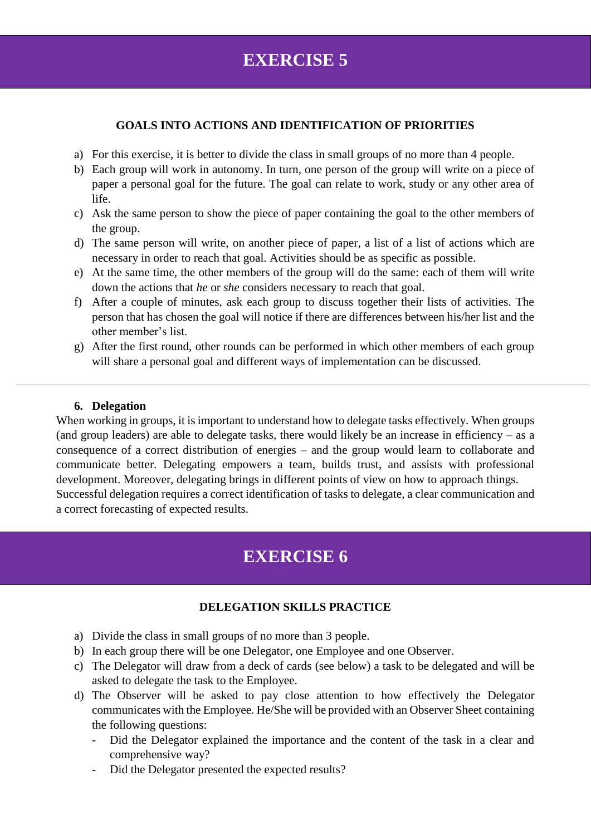## **EXERCISE 5**

### **GOALS INTO ACTIONS AND IDENTIFICATION OF PRIORITIES**

- a) For this exercise, it is better to divide the class in small groups of no more than 4 people.
- b) Each group will work in autonomy. In turn, one person of the group will write on a piece of paper a personal goal for the future. The goal can relate to work, study or any other area of life.
- c) Ask the same person to show the piece of paper containing the goal to the other members of the group.
- d) The same person will write, on another piece of paper, a list of a list of actions which are necessary in order to reach that goal. Activities should be as specific as possible.
- e) At the same time, the other members of the group will do the same: each of them will write down the actions that *he* or *she* considers necessary to reach that goal.
- f) After a couple of minutes, ask each group to discuss together their lists of activities. The person that has chosen the goal will notice if there are differences between his/her list and the other member's list.
- g) After the first round, other rounds can be performed in which other members of each group will share a personal goal and different ways of implementation can be discussed.

### **6. Delegation**

When working in groups, it is important to understand how to delegate tasks effectively. When groups (and group leaders) are able to delegate tasks, there would likely be an increase in efficiency – as a consequence of a correct distribution of energies – and the group would learn to collaborate and communicate better. Delegating empowers a team, builds trust, and assists with professional development. Moreover, delegating brings in different points of view on how to approach things. Successful delegation requires a correct identification of tasks to delegate, a clear communication and a correct forecasting of expected results.

## **EXERCISE 6**

### **DELEGATION SKILLS PRACTICE**

- a) Divide the class in small groups of no more than 3 people.
- b) In each group there will be one Delegator, one Employee and one Observer.
- c) The Delegator will draw from a deck of cards (see below) a task to be delegated and will be asked to delegate the task to the Employee.
- d) The Observer will be asked to pay close attention to how effectively the Delegator communicates with the Employee. He/She will be provided with an Observer Sheet containing the following questions:
	- Did the Delegator explained the importance and the content of the task in a clear and comprehensive way?
	- Did the Delegator presented the expected results?